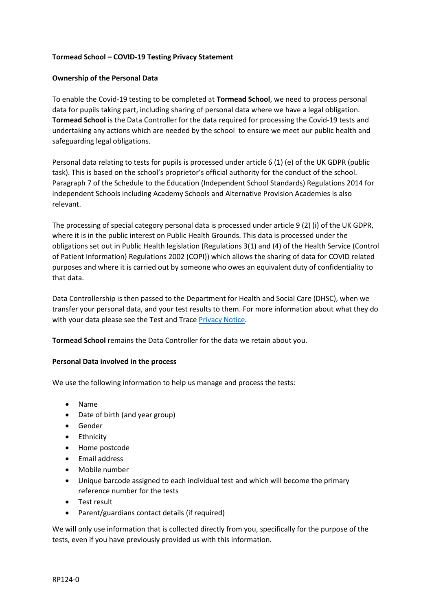# **Tormead School – COVID-19 Testing Privacy Statement**

# **Ownership of the Personal Data**

To enable the Covid-19 testing to be completed at **Tormead School**, we need to process personal data for pupils taking part, including sharing of personal data where we have a legal obligation. **Tormead School** is the Data Controller for the data required for processing the Covid-19 tests and undertaking any actions which are needed by the school to ensure we meet our public health and safeguarding legal obligations.

Personal data relating to tests for pupils is processed under article 6 (1) (e) of the UK GDPR (public task). This is based on the school's proprietor's official authority for the conduct of the school. Paragraph 7 of the Schedule to the Education (Independent School Standards) Regulations 2014 for independent Schools including Academy Schools and Alternative Provision Academies is also relevant.

The processing of special category personal data is processed under article 9 (2) (i) of the UK GDPR, where it is in the public interest on Public Health Grounds. This data is processed under the obligations set out in Public Health legislation (Regulations 3(1) and (4) of the Health Service (Control of Patient Information) Regulations 2002 (COPI)) which allows the sharing of data for COVID related purposes and where it is carried out by someone who owes an equivalent duty of confidentiality to that data.

Data Controllership is then passed to the Department for Health and Social Care (DHSC), when we transfer your personal data, and your test results to them. For more information about what they do with your data please see the Test and Trace [Privacy Notice.](https://contact-tracing.phe.gov.uk/help/privacy-notice)

**Tormead School** remains the Data Controller for the data we retain about you.

## **Personal Data involved in the process**

We use the following information to help us manage and process the tests:

- Name
- Date of birth (and year group)
- Gender
- Ethnicity
- Home postcode
- Email address
- Mobile number
- Unique barcode assigned to each individual test and which will become the primary reference number for the tests
- Test result
- Parent/guardians contact details (if required)

We will only use information that is collected directly from you, specifically for the purpose of the tests, even if you have previously provided us with this information.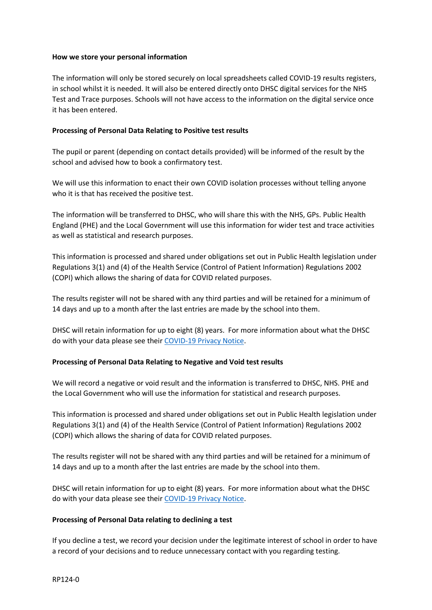## **How we store your personal information**

The information will only be stored securely on local spreadsheets called COVID-19 results registers, in school whilst it is needed. It will also be entered directly onto DHSC digital services for the NHS Test and Trace purposes. Schools will not have access to the information on the digital service once it has been entered.

### **Processing of Personal Data Relating to Positive test results**

The pupil or parent (depending on contact details provided) will be informed of the result by the school and advised how to book a confirmatory test.

We will use this information to enact their own COVID isolation processes without telling anyone who it is that has received the positive test.

The information will be transferred to DHSC, who will share this with the NHS, GPs. Public Health England (PHE) and the Local Government will use this information for wider test and trace activities as well as statistical and research purposes.

This information is processed and shared under obligations set out in Public Health legislation under Regulations 3(1) and (4) of the Health Service (Control of Patient Information) Regulations 2002 (COPI) which allows the sharing of data for COVID related purposes.

The results register will not be shared with any third parties and will be retained for a minimum of 14 days and up to a month after the last entries are made by the school into them.

DHSC will retain information for up to eight (8) years. For more information about what the DHSC do with your data please see thei[r COVID-19 Privacy Notice.](https://www.gov.uk/government/publications/coronavirus-covid-19-testing-privacy-information)

## **Processing of Personal Data Relating to Negative and Void test results**

We will record a negative or void result and the information is transferred to DHSC, NHS. PHE and the Local Government who will use the information for statistical and research purposes.

This information is processed and shared under obligations set out in Public Health legislation under Regulations 3(1) and (4) of the Health Service (Control of Patient Information) Regulations 2002 (COPI) which allows the sharing of data for COVID related purposes.

The results register will not be shared with any third parties and will be retained for a minimum of 14 days and up to a month after the last entries are made by the school into them.

DHSC will retain information for up to eight (8) years. For more information about what the DHSC do with your data please see thei[r COVID-19 Privacy Notice.](https://www.gov.uk/government/publications/coronavirus-covid-19-testing-privacy-information)

#### **Processing of Personal Data relating to declining a test**

If you decline a test, we record your decision under the legitimate interest of school in order to have a record of your decisions and to reduce unnecessary contact with you regarding testing.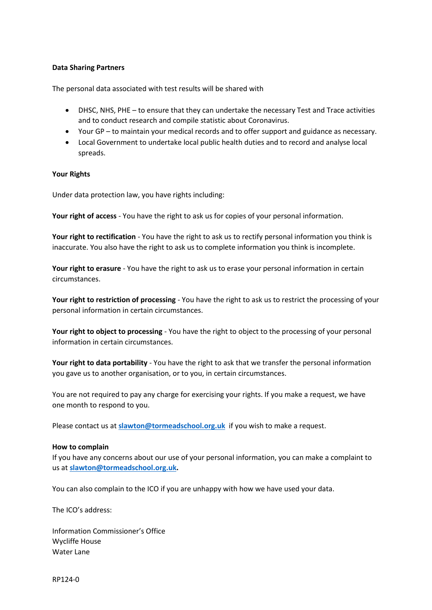## **Data Sharing Partners**

The personal data associated with test results will be shared with

- DHSC, NHS, PHE to ensure that they can undertake the necessary Test and Trace activities and to conduct research and compile statistic about Coronavirus.
- Your GP to maintain your medical records and to offer support and guidance as necessary.
- Local Government to undertake local public health duties and to record and analyse local spreads.

#### **Your Rights**

Under data protection law, you have rights including:

**Your right of access** - You have the right to ask us for copies of your personal information.

**Your right to rectification** - You have the right to ask us to rectify personal information you think is inaccurate. You also have the right to ask us to complete information you think is incomplete.

**Your right to erasure** - You have the right to ask us to erase your personal information in certain circumstances.

**Your right to restriction of processing** - You have the right to ask us to restrict the processing of your personal information in certain circumstances.

**Your right to object to processing** - You have the right to object to the processing of your personal information in certain circumstances.

**Your right to data portability** - You have the right to ask that we transfer the personal information you gave us to another organisation, or to you, in certain circumstances.

You are not required to pay any charge for exercising your rights. If you make a request, we have one month to respond to you.

Please contact us at **[slawton@tormeadschool.org.uk](mailto:slawton@tormeadschool.org.uk)** if you wish to make a request.

#### **How to complain**

If you have any concerns about our use of your personal information, you can make a complaint to us at **[slawton@tormeadschool.org.uk.](mailto:slawton@tormeadschool.org.uk)**

You can also complain to the ICO if you are unhappy with how we have used your data.

The ICO's address:

Information Commissioner's Office Wycliffe House Water Lane